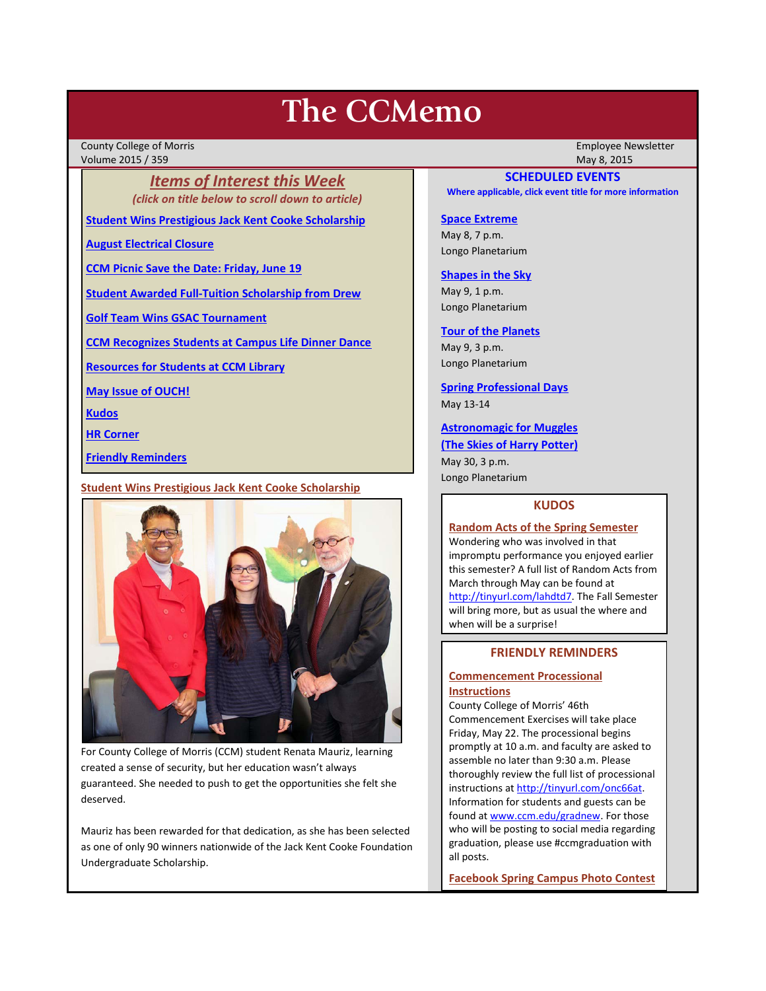# **The CCMemo**

County College of Morris Employee Newsletter Volume 2015 / 359 May 8, 2015

*Items of Interest this Week (click on title below to scroll down to article)*

**[Student Wins Prestigious Jack Kent Cooke Scholarship](#page-0-0)**

**[August Electrical Closure](#page-1-0)**

**[CCM Picnic Save the Date: Friday, June 19](#page-1-1)**

**[Student Awarded Full-Tuition Scholarship from Drew](#page-1-2)**

**[Golf Team Wins GSAC Tournament](#page-1-3)**

**[CCM Recognizes Students at Campus Life Dinner Dance](#page-2-0)**

**[Resources for Students at CCM Library](#page-2-1)**

**[May Issue of OUCH!](#page-2-2)**

**[Kudos](#page-0-1)**

**[HR Corner](#page-2-3)**

**[Friendly Reminders](#page-0-2)**

<span id="page-0-0"></span>**Student Wins Prestigious Jack Kent Cooke Scholarship**



For County College of Morris (CCM) student Renata Mauriz, learning created a sense of security, but her education wasn't always guaranteed. She needed to push to get the opportunities she felt she deserved.

Mauriz has been rewarded for that dedication, as she has been selected as one of only 90 winners nationwide of the Jack Kent Cooke Foundation Undergraduate Scholarship.

# **SCHEDULED EVENTS**

**Where applicable, click event title for more information**

# **[Space Extreme](http://www.ccm.edu/newsEvents/eventDetails.aspx?Channel=/Channels/Sitewide&WorkflowItemID=1874a4b0-0bcb-4ed1-a29e-7b4f8d25e45d)**

May 8, 7 p.m. Longo Planetarium

#### **[Shapes in the Sky](http://www.ccm.edu/newsEvents/eventDetails.aspx?Channel=/Channels/Sitewide&WorkflowItemID=1922c928-86d3-4e75-b6a2-fd618033989c)**

May 9, 1 p.m. Longo Planetarium

# **[Tour of the Planets](http://www.ccm.edu/newsEvents/eventDetails.aspx?Channel=/Channels/Sitewide&WorkflowItemID=5834aa20-68ba-4fa2-a3ac-75b2311ba441)**

May 9, 3 p.m. Longo Planetarium

**[Spring Professional Days](http://www3.ccm.edu/ccmemo/images/Professional%20Days%20-%20May%202015.pdf)** May 13-14

# **[Astronomagic for Muggles](http://www.ccm.edu/newsEvents/eventDetails.aspx?Channel=/Channels/Sitewide&WorkflowItemID=ea817282-906a-483e-b8be-410fba055cc4)**

**[\(The Skies of Harry Potter\)](http://www.ccm.edu/newsEvents/eventDetails.aspx?Channel=/Channels/Sitewide&WorkflowItemID=ea817282-906a-483e-b8be-410fba055cc4)**

May 30, 3 p.m. Longo Planetarium

#### **KUDOS**

#### <span id="page-0-1"></span>**Random Acts of the Spring Semester**

Wondering who was involved in that impromptu performance you enjoyed earlier this semester? A full list of Random Acts from March through May can be found at [http://tinyurl.com/lahdtd7.](http://tinyurl.com/lahdtd7) The Fall Semester will bring more, but as usual the where and when will be a surprise!

# **FRIENDLY REMINDERS**

# <span id="page-0-2"></span>**Commencement Processional Instructions**

County College of Morris' 46th Commencement Exercises will take place Friday, May 22. The processional begins promptly at 10 a.m. and faculty are asked to assemble no later than 9:30 a.m. Please thoroughly review the full list of processional instructions at http://tinyurl.com/onc66at. Information for students and guests can be found at [www.ccm.edu/gradnew.](http://www.ccm.edu/gradnew) For those who will be posting to social media regarding graduation, please use #ccmgraduation with all posts.

**Facebook Spring Campus Photo Contest**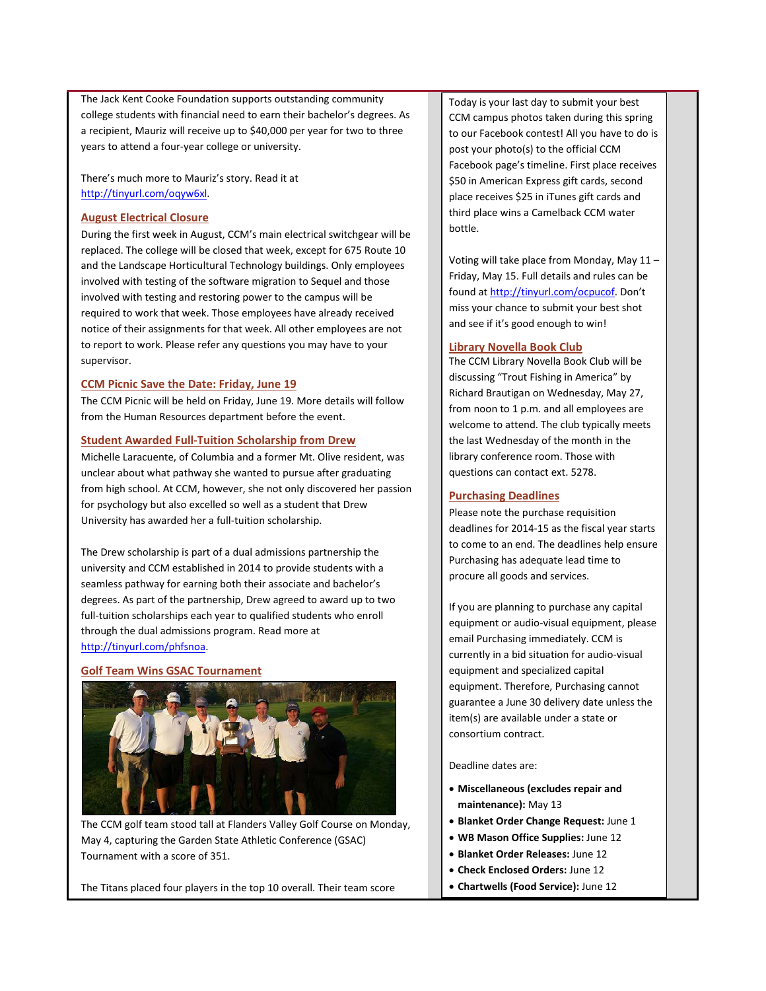The Jack Kent Cooke Foundation supports outstanding community college students with financial need to earn their bachelor's degrees. As a recipient, Mauriz will receive up to \$40,000 per year for two to three years to attend a four-year college or university.

There's much more to Mauriz's story. Read it at [http://tinyurl.com/oqyw6xl.](http://tinyurl.com/oqyw6xl)

## <span id="page-1-0"></span>**August Electrical Closure**

During the first week in August, CCM's main electrical switchgear will be replaced. The college will be closed that week, except for 675 Route 10 and the Landscape Horticultural Technology buildings. Only employees involved with testing of the software migration to Sequel and those involved with testing and restoring power to the campus will be required to work that week. Those employees have already received notice of their assignments for that week. All other employees are not to report to work. Please refer any questions you may have to your supervisor.

## <span id="page-1-1"></span>**CCM Picnic Save the Date: Friday, June 19**

The CCM Picnic will be held on Friday, June 19. More details will follow from the Human Resources department before the event.

## <span id="page-1-2"></span>**Student Awarded Full-Tuition Scholarship from Drew**

Michelle Laracuente, of Columbia and a former Mt. Olive resident, was unclear about what pathway she wanted to pursue after graduating from high school. At CCM, however, she not only discovered her passion for psychology but also excelled so well as a student that Drew University has awarded her a full-tuition scholarship.

The Drew scholarship is part of a dual admissions partnership the university and CCM established in 2014 to provide students with a seamless pathway for earning both their associate and bachelor's degrees. As part of the partnership, Drew agreed to award up to two full-tuition scholarships each year to qualified students who enroll through the dual admissions program. Read more at [http://tinyurl.com/phfsnoa.](http://tinyurl.com/phfsnoa)

#### <span id="page-1-3"></span>**Golf Team Wins GSAC Tournament**



The CCM golf team stood tall at Flanders Valley Golf Course on Monday, May 4, capturing the Garden State Athletic Conference (GSAC) Tournament with a score of 351.

The Titans placed four players in the top 10 overall. Their team score

Today is your last day to submit your best CCM campus photos taken during this spring to our Facebook contest! All you have to do is post your photo(s) to the official CCM Facebook page's timeline. First place receives \$50 in American Express gift cards, second place receives \$25 in iTunes gift cards and third place wins a Camelback CCM water bottle.

Voting will take place from Monday, May 11 – Friday, May 15. Full details and rules can be found at [http://tinyurl.com/ocpucof.](http://tinyurl.com/ocpucof) Don't miss your chance to submit your best shot and see if it's good enough to win!

#### **Library Novella Book Club**

The CCM Library Novella Book Club will be discussing "Trout Fishing in America" by Richard Brautigan on Wednesday, May 27, from noon to 1 p.m. and all employees are welcome to attend. The club typically meets the last Wednesday of the month in the library conference room. Those with questions can contact ext. 5278.

# **Purchasing Deadlines**

Please note the purchase requisition deadlines for 2014-15 as the fiscal year starts to come to an end. The deadlines help ensure Purchasing has adequate lead time to procure all goods and services.

If you are planning to purchase any capital equipment or audio-visual equipment, please email Purchasing immediately. CCM is currently in a bid situation for audio-visual equipment and specialized capital equipment. Therefore, Purchasing cannot guarantee a June 30 delivery date unless the item(s) are available under a state or consortium contract.

#### Deadline dates are:

- **Miscellaneous (excludes repair and maintenance):** May 13
- **Blanket Order Change Request:** June 1
- **WB Mason Office Supplies:** June 12
- **Blanket Order Releases:** June 12
- **Check Enclosed Orders:** June 12
- **Chartwells (Food Service):** June 12